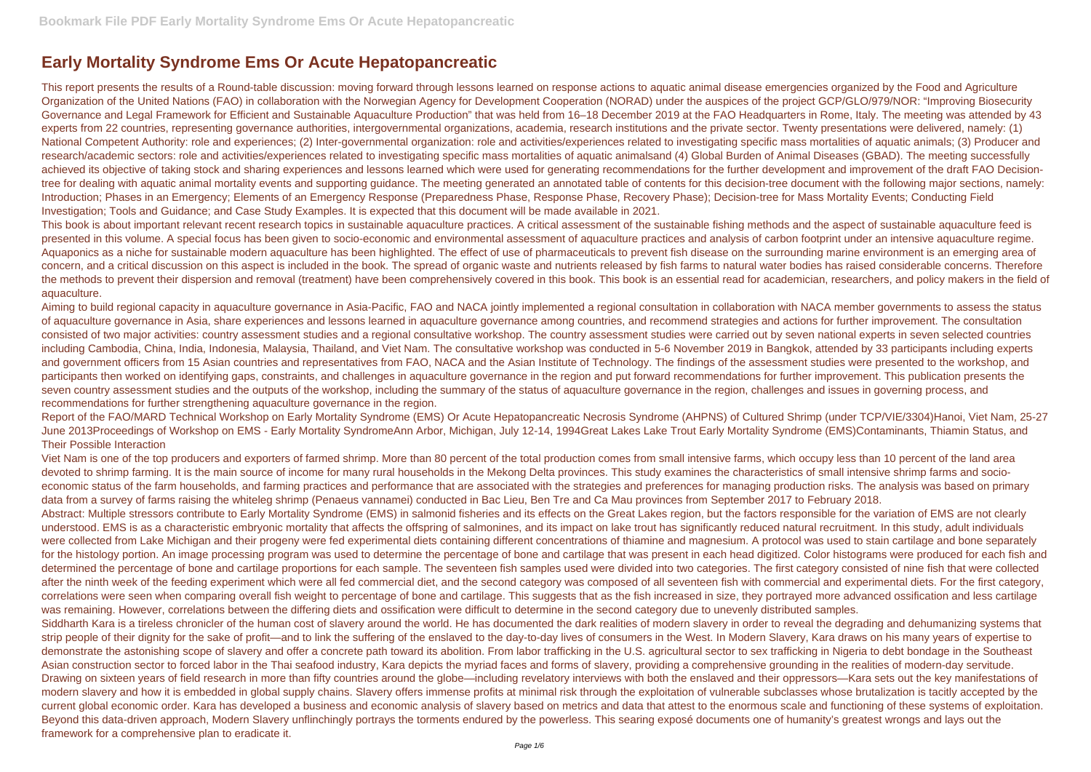## **Early Mortality Syndrome Ems Or Acute Hepatopancreatic**

This report presents the results of a Round-table discussion: moving forward through lessons learned on response actions to aquatic animal disease emergencies organized by the Food and Agriculture Organization of the United Nations (FAO) in collaboration with the Norwegian Agency for Development Cooperation (NORAD) under the auspices of the project GCP/GLO/979/NOR: "Improving Biosecurity Governance and Legal Framework for Efficient and Sustainable Aquaculture Production" that was held from 16–18 December 2019 at the FAO Headquarters in Rome, Italy. The meeting was attended by 43 experts from 22 countries, representing governance authorities, intergovernmental organizations, academia, research institutions and the private sector. Twenty presentations were delivered, namely: (1) National Competent Authority: role and experiences; (2) Inter-governmental organization: role and activities/experiences related to investigating specific mass mortalities of aquatic animals; (3) Producer and research/academic sectors: role and activities/experiences related to investigating specific mass mortalities of aquatic animalsand (4) Global Burden of Animal Diseases (GBAD). The meeting successfully achieved its objective of taking stock and sharing experiences and lessons learned which were used for generating recommendations for the further development and improvement of the draft FAO Decisiontree for dealing with aquatic animal mortality events and supporting guidance. The meeting generated an annotated table of contents for this decision-tree document with the following major sections, namely: Introduction; Phases in an Emergency; Elements of an Emergency Response (Preparedness Phase, Response Phase, Recovery Phase); Decision-tree for Mass Mortality Events; Conducting Field Investigation; Tools and Guidance; and Case Study Examples. It is expected that this document will be made available in 2021.

This book is about important relevant recent research topics in sustainable aquaculture practices. A critical assessment of the sustainable fishing methods and the aspect of sustainable aquaculture feed is presented in this volume. A special focus has been given to socio-economic and environmental assessment of aquaculture practices and analysis of carbon footprint under an intensive aquaculture regime. Aquaponics as a niche for sustainable modern aquaculture has been highlighted. The effect of use of pharmaceuticals to prevent fish disease on the surrounding marine environment is an emerging area of concern, and a critical discussion on this aspect is included in the book. The spread of organic waste and nutrients released by fish farms to natural water bodies has raised considerable concerns. Therefore the methods to prevent their dispersion and removal (treatment) have been comprehensively covered in this book. This book is an essential read for academician, researchers, and policy makers in the field of aquaculture.

Aiming to build regional capacity in aquaculture governance in Asia-Pacific, FAO and NACA jointly implemented a regional consultation in collaboration with NACA member governments to assess the status of aquaculture governance in Asia, share experiences and lessons learned in aquaculture governance among countries, and recommend strategies and actions for further improvement. The consultation consisted of two major activities: country assessment studies and a regional consultative workshop. The country assessment studies were carried out by seven national experts in seven selected countries including Cambodia, China, India, Indonesia, Malaysia, Thailand, and Viet Nam. The consultative workshop was conducted in 5-6 November 2019 in Bangkok, attended by 33 participants including experts and government officers from 15 Asian countries and representatives from FAO, NACA and the Asian Institute of Technology. The findings of the assessment studies were presented to the workshop, and participants then worked on identifying gaps, constraints, and challenges in aquaculture governance in the region and put forward recommendations for further improvement. This publication presents the seven country assessment studies and the outputs of the workshop, including the summary of the status of aquaculture governance in the region, challenges and issues in governing process, and recommendations for further strengthening aquaculture governance in the region.

Report of the FAO/MARD Technical Workshop on Early Mortality Syndrome (EMS) Or Acute Hepatopancreatic Necrosis Syndrome (AHPNS) of Cultured Shrimp (under TCP/VIE/3304)Hanoi, Viet Nam, 25-27 June 2013Proceedings of Workshop on EMS - Early Mortality SyndromeAnn Arbor, Michigan, July 12-14, 1994Great Lakes Lake Trout Early Mortality Syndrome (EMS)Contaminants, Thiamin Status, and Their Possible Interaction

Viet Nam is one of the top producers and exporters of farmed shrimp. More than 80 percent of the total production comes from small intensive farms, which occupy less than 10 percent of the land area devoted to shrimp farming. It is the main source of income for many rural households in the Mekong Delta provinces. This study examines the characteristics of small intensive shrimp farms and socioeconomic status of the farm households, and farming practices and performance that are associated with the strategies and preferences for managing production risks. The analysis was based on primary data from a survey of farms raising the whiteleg shrimp (Penaeus vannamei) conducted in Bac Lieu, Ben Tre and Ca Mau provinces from September 2017 to February 2018. Abstract: Multiple stressors contribute to Early Mortality Syndrome (EMS) in salmonid fisheries and its effects on the Great Lakes region, but the factors responsible for the variation of EMS are not clearly understood. EMS is as a characteristic embryonic mortality that affects the offspring of salmonines, and its impact on lake trout has significantly reduced natural recruitment. In this study, adult individuals were collected from Lake Michigan and their progeny were fed experimental diets containing different concentrations of thiamine and magnesium. A protocol was used to stain cartilage and bone separately for the histology portion. An image processing program was used to determine the percentage of bone and cartilage that was present in each head digitized. Color histograms were produced for each fish and determined the percentage of bone and cartilage proportions for each sample. The seventeen fish samples used were divided into two categories. The first category consisted of nine fish that were collected after the ninth week of the feeding experiment which were all fed commercial diet, and the second category was composed of all seventeen fish with commercial and experimental diets. For the first category, correlations were seen when comparing overall fish weight to percentage of bone and cartilage. This suggests that as the fish increased in size, they portrayed more advanced ossification and less cartilage was remaining. However, correlations between the differing diets and ossification were difficult to determine in the second category due to unevenly distributed samples. Siddharth Kara is a tireless chronicler of the human cost of slavery around the world. He has documented the dark realities of modern slavery in order to reveal the degrading and dehumanizing systems that strip people of their dignity for the sake of profit—and to link the suffering of the enslaved to the day-to-day lives of consumers in the West. In Modern Slavery, Kara draws on his many years of expertise to demonstrate the astonishing scope of slavery and offer a concrete path toward its abolition. From labor trafficking in the U.S. agricultural sector to sex trafficking in Nigeria to debt bondage in the Southeast Asian construction sector to forced labor in the Thai seafood industry, Kara depicts the myriad faces and forms of slavery, providing a comprehensive grounding in the realities of modern-day servitude. Drawing on sixteen years of field research in more than fifty countries around the globe—including revelatory interviews with both the enslaved and their oppressors—Kara sets out the key manifestations of modern slavery and how it is embedded in global supply chains. Slavery offers immense profits at minimal risk through the exploitation of vulnerable subclasses whose brutalization is tacitly accepted by the current global economic order. Kara has developed a business and economic analysis of slavery based on metrics and data that attest to the enormous scale and functioning of these systems of exploitation. Beyond this data-driven approach, Modern Slavery unflinchingly portrays the torments endured by the powerless. This searing exposé documents one of humanity's greatest wrongs and lays out the framework for a comprehensive plan to eradicate it.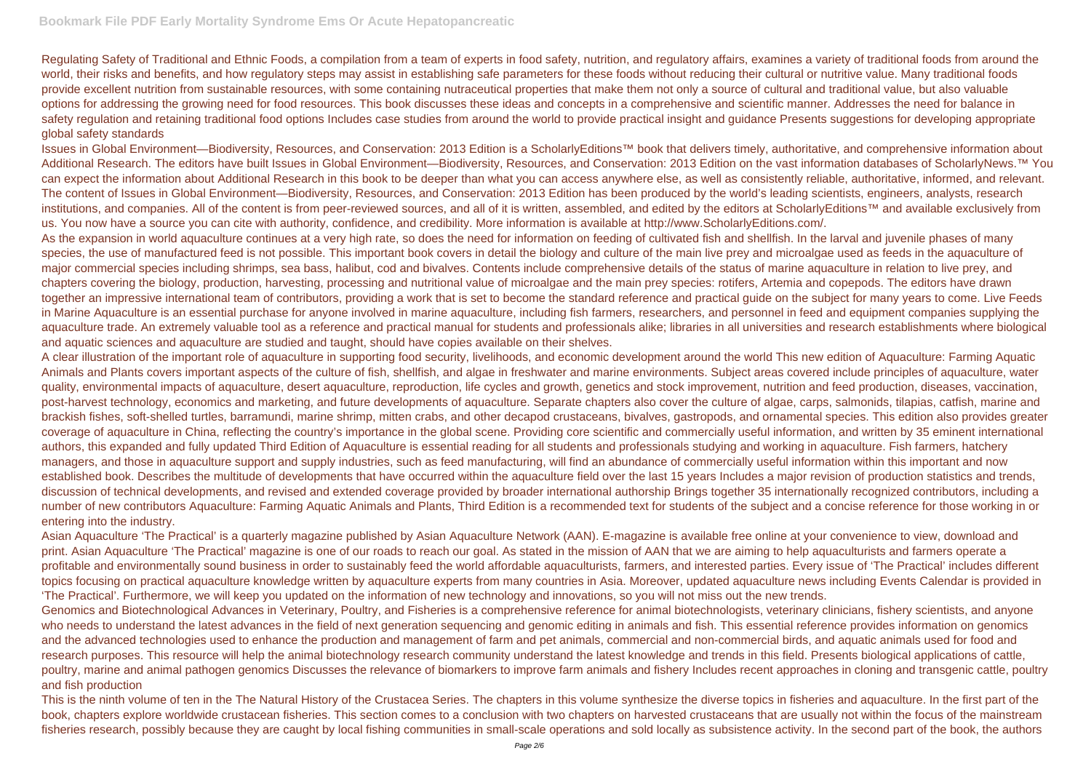Regulating Safety of Traditional and Ethnic Foods, a compilation from a team of experts in food safety, nutrition, and regulatory affairs, examines a variety of traditional foods from around the world, their risks and benefits, and how regulatory steps may assist in establishing safe parameters for these foods without reducing their cultural or nutritive value. Many traditional foods provide excellent nutrition from sustainable resources, with some containing nutraceutical properties that make them not only a source of cultural and traditional value, but also valuable options for addressing the growing need for food resources. This book discusses these ideas and concepts in a comprehensive and scientific manner. Addresses the need for balance in safety regulation and retaining traditional food options Includes case studies from around the world to provide practical insight and guidance Presents suggestions for developing appropriate global safety standards

Issues in Global Environment—Biodiversity, Resources, and Conservation: 2013 Edition is a ScholarlyEditions™ book that delivers timely, authoritative, and comprehensive information about Additional Research. The editors have built Issues in Global Environment—Biodiversity, Resources, and Conservation: 2013 Edition on the vast information databases of ScholarlyNews.<sup>™</sup> You can expect the information about Additional Research in this book to be deeper than what you can access anywhere else, as well as consistently reliable, authoritative, informed, and relevant. The content of Issues in Global Environment—Biodiversity, Resources, and Conservation: 2013 Edition has been produced by the world's leading scientists, engineers, analysts, research institutions, and companies. All of the content is from peer-reviewed sources, and all of it is written, assembled, and edited by the editors at ScholarlyEditions™ and available exclusively from us. You now have a source you can cite with authority, confidence, and credibility. More information is available at http://www.ScholarlyEditions.com/. As the expansion in world aquaculture continues at a very high rate, so does the need for information on feeding of cultivated fish and shellfish. In the larval and juvenile phases of many species, the use of manufactured feed is not possible. This important book covers in detail the biology and culture of the main live prey and microalgae used as feeds in the aquaculture of major commercial species including shrimps, sea bass, halibut, cod and bivalves. Contents include comprehensive details of the status of marine aquaculture in relation to live prey, and chapters covering the biology, production, harvesting, processing and nutritional value of microalgae and the main prey species: rotifers, Artemia and copepods. The editors have drawn together an impressive international team of contributors, providing a work that is set to become the standard reference and practical guide on the subject for many years to come. Live Feeds in Marine Aquaculture is an essential purchase for anyone involved in marine aquaculture, including fish farmers, researchers, and personnel in feed and equipment companies supplying the aquaculture trade. An extremely valuable tool as a reference and practical manual for students and professionals alike; libraries in all universities and research establishments where biological and aquatic sciences and aquaculture are studied and taught, should have copies available on their shelves.

A clear illustration of the important role of aquaculture in supporting food security, livelihoods, and economic development around the world This new edition of Aquaculture: Farming Aquatic Animals and Plants covers important aspects of the culture of fish, shellfish, and algae in freshwater and marine environments. Subject areas covered include principles of aquaculture, water quality, environmental impacts of aquaculture, desert aquaculture, reproduction, life cycles and growth, genetics and stock improvement, nutrition and feed production, diseases, vaccination, post-harvest technology, economics and marketing, and future developments of aquaculture. Separate chapters also cover the culture of algae, carps, salmonids, tilapias, catfish, marine and brackish fishes, soft-shelled turtles, barramundi, marine shrimp, mitten crabs, and other decapod crustaceans, bivalves, gastropods, and ornamental species. This edition also provides greater coverage of aquaculture in China, reflecting the country's importance in the global scene. Providing core scientific and commercially useful information, and written by 35 eminent international authors, this expanded and fully updated Third Edition of Aquaculture is essential reading for all students and professionals studying and working in aquaculture. Fish farmers, hatchery managers, and those in aquaculture support and supply industries, such as feed manufacturing, will find an abundance of commercially useful information within this important and now established book. Describes the multitude of developments that have occurred within the aquaculture field over the last 15 years Includes a major revision of production statistics and trends, discussion of technical developments, and revised and extended coverage provided by broader international authorship Brings together 35 internationally recognized contributors, including a number of new contributors Aquaculture: Farming Aquatic Animals and Plants, Third Edition is a recommended text for students of the subject and a concise reference for those working in or entering into the industry.

Asian Aquaculture 'The Practical' is a quarterly magazine published by Asian Aquaculture Network (AAN). E-magazine is available free online at your convenience to view, download and print. Asian Aquaculture 'The Practical' magazine is one of our roads to reach our goal. As stated in the mission of AAN that we are aiming to help aquaculturists and farmers operate a profitable and environmentally sound business in order to sustainably feed the world affordable aquaculturists, farmers, and interested parties. Every issue of 'The Practical' includes different topics focusing on practical aquaculture knowledge written by aquaculture experts from many countries in Asia. Moreover, updated aquaculture news including Events Calendar is provided in 'The Practical'. Furthermore, we will keep you updated on the information of new technology and innovations, so you will not miss out the new trends. Genomics and Biotechnological Advances in Veterinary, Poultry, and Fisheries is a comprehensive reference for animal biotechnologists, veterinary clinicians, fishery scientists, and anyone who needs to understand the latest advances in the field of next generation sequencing and genomic editing in animals and fish. This essential reference provides information on genomics and the advanced technologies used to enhance the production and management of farm and pet animals, commercial and non-commercial birds, and aquatic animals used for food and research purposes. This resource will help the animal biotechnology research community understand the latest knowledge and trends in this field. Presents biological applications of cattle, poultry, marine and animal pathogen genomics Discusses the relevance of biomarkers to improve farm animals and fishery Includes recent approaches in cloning and transgenic cattle, poultry and fish production

This is the ninth volume of ten in the The Natural History of the Crustacea Series. The chapters in this volume synthesize the diverse topics in fisheries and aquaculture. In the first part of the book, chapters explore worldwide crustacean fisheries. This section comes to a conclusion with two chapters on harvested crustaceans that are usually not within the focus of the mainstream fisheries research, possibly because they are caught by local fishing communities in small-scale operations and sold locally as subsistence activity. In the second part of the book, the authors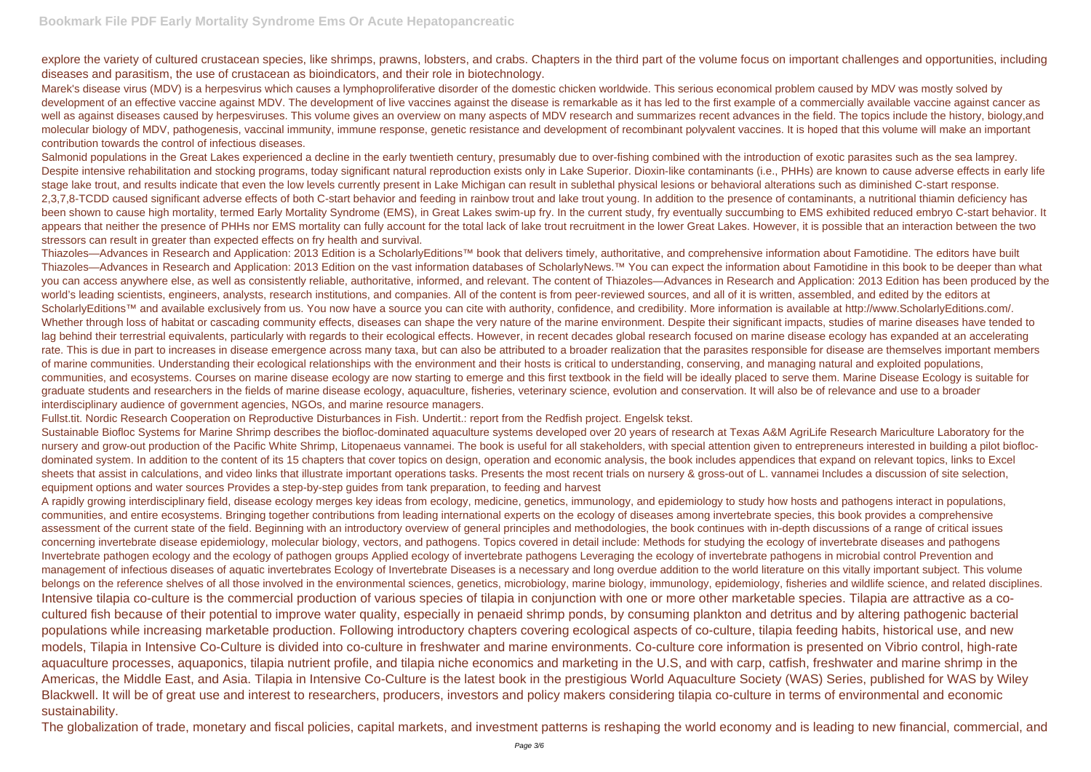explore the variety of cultured crustacean species, like shrimps, prawns, lobsters, and crabs. Chapters in the third part of the volume focus on important challenges and opportunities, including diseases and parasitism, the use of crustacean as bioindicators, and their role in biotechnology.

Marek's disease virus (MDV) is a herpesvirus which causes a lymphoproliferative disorder of the domestic chicken worldwide. This serious economical problem caused by MDV was mostly solved by development of an effective vaccine against MDV. The development of live vaccines against the disease is remarkable as it has led to the first example of a commercially available vaccine against cancer as well as against diseases caused by herpesviruses. This volume gives an overview on many aspects of MDV research and summarizes recent advances in the field. The topics include the history, biology, and molecular biology of MDV, pathogenesis, vaccinal immunity, immune response, genetic resistance and development of recombinant polyvalent vaccines. It is hoped that this volume will make an important contribution towards the control of infectious diseases.

Salmonid populations in the Great Lakes experienced a decline in the early twentieth century, presumably due to over-fishing combined with the introduction of exotic parasites such as the sea lamprey. Despite intensive rehabilitation and stocking programs, today significant natural reproduction exists only in Lake Superior. Dioxin-like contaminants (i.e., PHHs) are known to cause adverse effects in early life stage lake trout, and results indicate that even the low levels currently present in Lake Michigan can result in sublethal physical lesions or behavioral alterations such as diminished C-start response. 2,3,7,8-TCDD caused significant adverse effects of both C-start behavior and feeding in rainbow trout and lake trout young. In addition to the presence of contaminants, a nutritional thiamin deficiency has been shown to cause high mortality, termed Early Mortality Syndrome (EMS), in Great Lakes swim-up fry. In the current study, fry eventually succumbing to EMS exhibited reduced embryo C-start behavior. It appears that neither the presence of PHHs nor EMS mortality can fully account for the total lack of lake trout recruitment in the lower Great Lakes. However, it is possible that an interaction between the two stressors can result in greater than expected effects on fry health and survival.

Sustainable Biofloc Systems for Marine Shrimp describes the biofloc-dominated aquaculture systems developed over 20 years of research at Texas A&M AgriLife Research Mariculture Laboratory for the nursery and grow-out production of the Pacific White Shrimp, Litopenaeus vannamei. The book is useful for all stakeholders, with special attention given to entrepreneurs interested in building a pilot bioflocdominated system. In addition to the content of its 15 chapters that cover topics on design, operation and economic analysis, the book includes appendices that expand on relevant topics, links to Excel sheets that assist in calculations, and video links that illustrate important operations tasks. Presents the most recent trials on nursery & gross-out of L. vannamei Includes a discussion of site selection, equipment options and water sources Provides a step-by-step guides from tank preparation, to feeding and harvest

Thiazoles—Advances in Research and Application: 2013 Edition is a ScholarlyEditions™ book that delivers timely, authoritative, and comprehensive information about Famotidine. The editors have built Thiazoles—Advances in Research and Application: 2013 Edition on the vast information databases of ScholarlyNews.™ You can expect the information about Famotidine in this book to be deeper than what you can access anywhere else, as well as consistently reliable, authoritative, informed, and relevant. The content of Thiazoles—Advances in Research and Application: 2013 Edition has been produced by the world's leading scientists, engineers, analysts, research institutions, and companies. All of the content is from peer-reviewed sources, and all of it is written, assembled, and edited by the editors at ScholarlyEditions™ and available exclusively from us. You now have a source you can cite with authority, confidence, and credibility. More information is available at http://www.ScholarlyEditions.com/. Whether through loss of habitat or cascading community effects, diseases can shape the very nature of the marine environment. Despite their significant impacts, studies of marine diseases have tended to lag behind their terrestrial equivalents, particularly with regards to their ecological effects. However, in recent decades global research focused on marine disease ecology has expanded at an accelerating rate. This is due in part to increases in disease emergence across many taxa, but can also be attributed to a broader realization that the parasites responsible for disease are themselves important members of marine communities. Understanding their ecological relationships with the environment and their hosts is critical to understanding, conserving, and managing natural and exploited populations, communities, and ecosystems. Courses on marine disease ecology are now starting to emerge and this first textbook in the field will be ideally placed to serve them. Marine Disease Ecology is suitable for graduate students and researchers in the fields of marine disease ecology, aquaculture, fisheries, veterinary science, evolution and conservation. It will also be of relevance and use to a broader interdisciplinary audience of government agencies, NGOs, and marine resource managers.

Fullst.tit. Nordic Research Cooperation on Reproductive Disturbances in Fish. Undertit.: report from the Redfish project. Engelsk tekst.

A rapidly growing interdisciplinary field, disease ecology merges key ideas from ecology, medicine, genetics, immunology, and epidemiology to study how hosts and pathogens interact in populations, communities, and entire ecosystems. Bringing together contributions from leading international experts on the ecology of diseases among invertebrate species, this book provides a comprehensive assessment of the current state of the field. Beginning with an introductory overview of general principles and methodologies, the book continues with in-depth discussions of a range of critical issues concerning invertebrate disease epidemiology, molecular biology, vectors, and pathogens. Topics covered in detail include: Methods for studying the ecology of invertebrate diseases and pathogens Invertebrate pathogen ecology and the ecology of pathogen groups Applied ecology of invertebrate pathogens Leveraging the ecology of invertebrate pathogens in microbial control Prevention and management of infectious diseases of aquatic invertebrates Ecology of Invertebrate Diseases is a necessary and long overdue addition to the world literature on this vitally important subject. This volume belongs on the reference shelves of all those involved in the environmental sciences, genetics, microbiology, marine biology, immunology, epidemiology, fisheries and wildlife science, and related disciplines. Intensive tilapia co-culture is the commercial production of various species of tilapia in conjunction with one or more other marketable species. Tilapia are attractive as a cocultured fish because of their potential to improve water quality, especially in penaeid shrimp ponds, by consuming plankton and detritus and by altering pathogenic bacterial populations while increasing marketable production. Following introductory chapters covering ecological aspects of co-culture, tilapia feeding habits, historical use, and new models, Tilapia in Intensive Co-Culture is divided into co-culture in freshwater and marine environments. Co-culture core information is presented on Vibrio control, high-rate aquaculture processes, aquaponics, tilapia nutrient profile, and tilapia niche economics and marketing in the U.S, and with carp, catfish, freshwater and marine shrimp in the Americas, the Middle East, and Asia. Tilapia in Intensive Co-Culture is the latest book in the prestigious World Aquaculture Society (WAS) Series, published for WAS by Wiley Blackwell. It will be of great use and interest to researchers, producers, investors and policy makers considering tilapia co-culture in terms of environmental and economic sustainability.

The globalization of trade, monetary and fiscal policies, capital markets, and investment patterns is reshaping the world economy and is leading to new financial, commercial, and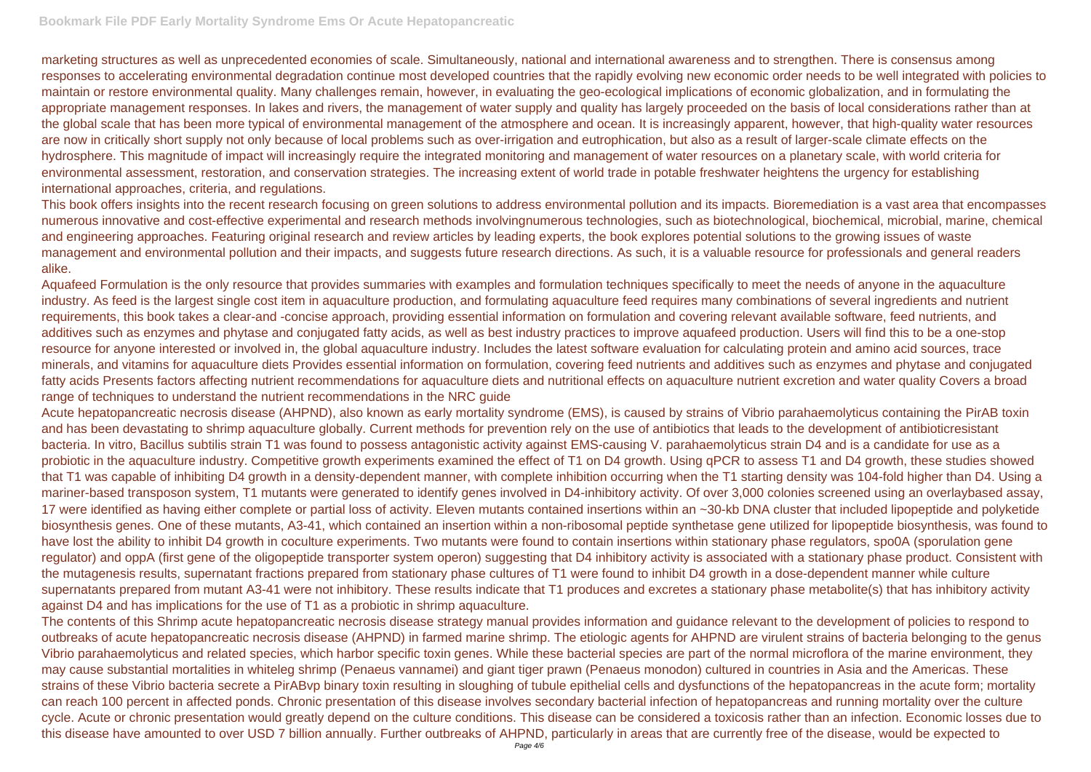marketing structures as well as unprecedented economies of scale. Simultaneously, national and international awareness and to strengthen. There is consensus among responses to accelerating environmental degradation continue most developed countries that the rapidly evolving new economic order needs to be well integrated with policies to maintain or restore environmental quality. Many challenges remain, however, in evaluating the geo-ecological implications of economic globalization, and in formulating the appropriate management responses. In lakes and rivers, the management of water supply and quality has largely proceeded on the basis of local considerations rather than at the global scale that has been more typical of environmental management of the atmosphere and ocean. It is increasingly apparent, however, that high-quality water resources are now in critically short supply not only because of local problems such as over-irrigation and eutrophication, but also as a result of larger-scale climate effects on the hydrosphere. This magnitude of impact will increasingly require the integrated monitoring and management of water resources on a planetary scale, with world criteria for environmental assessment, restoration, and conservation strategies. The increasing extent of world trade in potable freshwater heightens the urgency for establishing international approaches, criteria, and regulations.

This book offers insights into the recent research focusing on green solutions to address environmental pollution and its impacts. Bioremediation is a vast area that encompasses numerous innovative and cost-effective experimental and research methods involvingnumerous technologies, such as biotechnological, biochemical, microbial, marine, chemical and engineering approaches. Featuring original research and review articles by leading experts, the book explores potential solutions to the growing issues of waste management and environmental pollution and their impacts, and suggests future research directions. As such, it is a valuable resource for professionals and general readers alike.

Aquafeed Formulation is the only resource that provides summaries with examples and formulation techniques specifically to meet the needs of anyone in the aquaculture industry. As feed is the largest single cost item in aquaculture production, and formulating aquaculture feed requires many combinations of several ingredients and nutrient requirements, this book takes a clear-and -concise approach, providing essential information on formulation and covering relevant available software, feed nutrients, and additives such as enzymes and phytase and conjugated fatty acids, as well as best industry practices to improve aquafeed production. Users will find this to be a one-stop resource for anyone interested or involved in, the global aquaculture industry. Includes the latest software evaluation for calculating protein and amino acid sources, trace minerals, and vitamins for aquaculture diets Provides essential information on formulation, covering feed nutrients and additives such as enzymes and phytase and conjugated fatty acids Presents factors affecting nutrient recommendations for aquaculture diets and nutritional effects on aquaculture nutrient excretion and water quality Covers a broad range of techniques to understand the nutrient recommendations in the NRC guide

Acute hepatopancreatic necrosis disease (AHPND), also known as early mortality syndrome (EMS), is caused by strains of Vibrio parahaemolyticus containing the PirAB toxin and has been devastating to shrimp aquaculture globally. Current methods for prevention rely on the use of antibiotics that leads to the development of antibioticresistant bacteria. In vitro, Bacillus subtilis strain T1 was found to possess antagonistic activity against EMS-causing V. parahaemolyticus strain D4 and is a candidate for use as a probiotic in the aquaculture industry. Competitive growth experiments examined the effect of T1 on D4 growth. Using qPCR to assess T1 and D4 growth, these studies showed that T1 was capable of inhibiting D4 growth in a density-dependent manner, with complete inhibition occurring when the T1 starting density was 104-fold higher than D4. Using a mariner-based transposon system, T1 mutants were generated to identify genes involved in D4-inhibitory activity. Of over 3,000 colonies screened using an overlaybased assay, 17 were identified as having either complete or partial loss of activity. Eleven mutants contained insertions within an ~30-kb DNA cluster that included lipopeptide and polyketide biosynthesis genes. One of these mutants, A3-41, which contained an insertion within a non-ribosomal peptide synthetase gene utilized for lipopeptide biosynthesis, was found to have lost the ability to inhibit D4 growth in coculture experiments. Two mutants were found to contain insertions within stationary phase regulators, spo0A (sporulation gene regulator) and oppA (first gene of the oligopeptide transporter system operon) suggesting that D4 inhibitory activity is associated with a stationary phase product. Consistent with the mutagenesis results, supernatant fractions prepared from stationary phase cultures of T1 were found to inhibit D4 growth in a dose-dependent manner while culture supernatants prepared from mutant A3-41 were not inhibitory. These results indicate that T1 produces and excretes a stationary phase metabolite(s) that has inhibitory activity against D4 and has implications for the use of T1 as a probiotic in shrimp aquaculture.

The contents of this Shrimp acute hepatopancreatic necrosis disease strategy manual provides information and guidance relevant to the development of policies to respond to outbreaks of acute hepatopancreatic necrosis disease (AHPND) in farmed marine shrimp. The etiologic agents for AHPND are virulent strains of bacteria belonging to the genus Vibrio parahaemolyticus and related species, which harbor specific toxin genes. While these bacterial species are part of the normal microflora of the marine environment, they may cause substantial mortalities in whiteleg shrimp (Penaeus vannamei) and giant tiger prawn (Penaeus monodon) cultured in countries in Asia and the Americas. These strains of these Vibrio bacteria secrete a PirABvp binary toxin resulting in sloughing of tubule epithelial cells and dysfunctions of the hepatopancreas in the acute form; mortality can reach 100 percent in affected ponds. Chronic presentation of this disease involves secondary bacterial infection of hepatopancreas and running mortality over the culture cycle. Acute or chronic presentation would greatly depend on the culture conditions. This disease can be considered a toxicosis rather than an infection. Economic losses due to this disease have amounted to over USD 7 billion annually. Further outbreaks of AHPND, particularly in areas that are currently free of the disease, would be expected to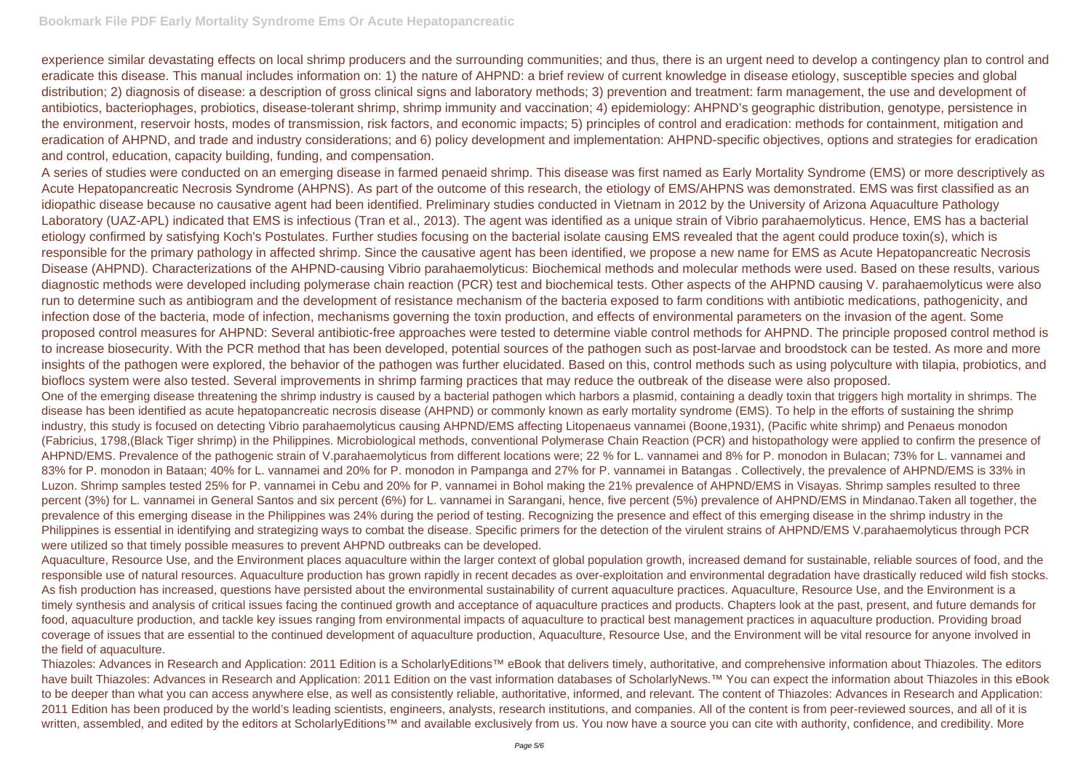experience similar devastating effects on local shrimp producers and the surrounding communities; and thus, there is an urgent need to develop a contingency plan to control and eradicate this disease. This manual includes information on: 1) the nature of AHPND: a brief review of current knowledge in disease etiology, susceptible species and global distribution; 2) diagnosis of disease: a description of gross clinical signs and laboratory methods; 3) prevention and treatment: farm management, the use and development of antibiotics, bacteriophages, probiotics, disease-tolerant shrimp, shrimp immunity and vaccination; 4) epidemiology: AHPND's geographic distribution, genotype, persistence in the environment, reservoir hosts, modes of transmission, risk factors, and economic impacts; 5) principles of control and eradication: methods for containment, mitigation and eradication of AHPND, and trade and industry considerations; and 6) policy development and implementation: AHPND-specific objectives, options and strategies for eradication and control, education, capacity building, funding, and compensation.

A series of studies were conducted on an emerging disease in farmed penaeid shrimp. This disease was first named as Early Mortality Syndrome (EMS) or more descriptively as Acute Hepatopancreatic Necrosis Syndrome (AHPNS). As part of the outcome of this research, the etiology of EMS/AHPNS was demonstrated. EMS was first classified as an idiopathic disease because no causative agent had been identified. Preliminary studies conducted in Vietnam in 2012 by the University of Arizona Aquaculture Pathology Laboratory (UAZ-APL) indicated that EMS is infectious (Tran et al., 2013). The agent was identified as a unique strain of Vibrio parahaemolyticus. Hence, EMS has a bacterial etiology confirmed by satisfying Koch's Postulates. Further studies focusing on the bacterial isolate causing EMS revealed that the agent could produce toxin(s), which is responsible for the primary pathology in affected shrimp. Since the causative agent has been identified, we propose a new name for EMS as Acute Hepatopancreatic Necrosis Disease (AHPND). Characterizations of the AHPND-causing Vibrio parahaemolyticus: Biochemical methods and molecular methods were used. Based on these results, various diagnostic methods were developed including polymerase chain reaction (PCR) test and biochemical tests. Other aspects of the AHPND causing V. parahaemolyticus were also run to determine such as antibiogram and the development of resistance mechanism of the bacteria exposed to farm conditions with antibiotic medications, pathogenicity, and infection dose of the bacteria, mode of infection, mechanisms governing the toxin production, and effects of environmental parameters on the invasion of the agent. Some proposed control measures for AHPND: Several antibiotic-free approaches were tested to determine viable control methods for AHPND. The principle proposed control method is to increase biosecurity. With the PCR method that has been developed, potential sources of the pathogen such as post-larvae and broodstock can be tested. As more and more insights of the pathogen were explored, the behavior of the pathogen was further elucidated. Based on this, control methods such as using polyculture with tilapia, probiotics, and bioflocs system were also tested. Several improvements in shrimp farming practices that may reduce the outbreak of the disease were also proposed. One of the emerging disease threatening the shrimp industry is caused by a bacterial pathogen which harbors a plasmid, containing a deadly toxin that triggers high mortality in shrimps. The disease has been identified as acute hepatopancreatic necrosis disease (AHPND) or commonly known as early mortality syndrome (EMS). To help in the efforts of sustaining the shrimp industry, this study is focused on detecting Vibrio parahaemolyticus causing AHPND/EMS affecting Litopenaeus vannamei (Boone,1931), (Pacific white shrimp) and Penaeus monodon (Fabricius, 1798,(Black Tiger shrimp) in the Philippines. Microbiological methods, conventional Polymerase Chain Reaction (PCR) and histopathology were applied to confirm the presence of AHPND/EMS. Prevalence of the pathogenic strain of V.parahaemolyticus from different locations were; 22 % for L. vannamei and 8% for P. monodon in Bulacan; 73% for L. vannamei and 83% for P. monodon in Bataan; 40% for L. vannamei and 20% for P. monodon in Pampanga and 27% for P. vannamei in Batangas. Collectively, the prevalence of AHPND/EMS is 33% in Luzon. Shrimp samples tested 25% for P. vannamei in Cebu and 20% for P. vannamei in Bohol making the 21% prevalence of AHPND/EMS in Visayas. Shrimp samples resulted to three percent (3%) for L. vannamei in General Santos and six percent (6%) for L. vannamei in Sarangani, hence, five percent (5%) prevalence of AHPND/EMS in Mindanao.Taken all together, the prevalence of this emerging disease in the Philippines was 24% during the period of testing. Recognizing the presence and effect of this emerging disease in the shrimp industry in the Philippines is essential in identifying and strategizing ways to combat the disease. Specific primers for the detection of the virulent strains of AHPND/EMS V.parahaemolyticus through PCR were utilized so that timely possible measures to prevent AHPND outbreaks can be developed.

Aquaculture, Resource Use, and the Environment places aquaculture within the larger context of global population growth, increased demand for sustainable, reliable sources of food, and the responsible use of natural resources. Aquaculture production has grown rapidly in recent decades as over-exploitation and environmental degradation have drastically reduced wild fish stocks. As fish production has increased, questions have persisted about the environmental sustainability of current aquaculture practices. Aquaculture, Resource Use, and the Environment is a timely synthesis and analysis of critical issues facing the continued growth and acceptance of aquaculture practices and products. Chapters look at the past, present, and future demands for food, aquaculture production, and tackle key issues ranging from environmental impacts of aquaculture to practical best management practices in aquaculture production. Providing broad coverage of issues that are essential to the continued development of aquaculture production, Aquaculture, Resource Use, and the Environment will be vital resource for anyone involved in the field of aquaculture.

Thiazoles: Advances in Research and Application: 2011 Edition is a ScholarlyEditions™ eBook that delivers timely, authoritative, and comprehensive information about Thiazoles. The editors have built Thiazoles: Advances in Research and Application: 2011 Edition on the vast information databases of ScholarlyNews.™ You can expect the information about Thiazoles in this eBook to be deeper than what you can access anywhere else, as well as consistently reliable, authoritative, informed, and relevant. The content of Thiazoles: Advances in Research and Application: 2011 Edition has been produced by the world's leading scientists, engineers, analysts, research institutions, and companies. All of the content is from peer-reviewed sources, and all of it is written, assembled, and edited by the editors at ScholarlyEditions™ and available exclusively from us. You now have a source you can cite with authority, confidence, and credibility. More